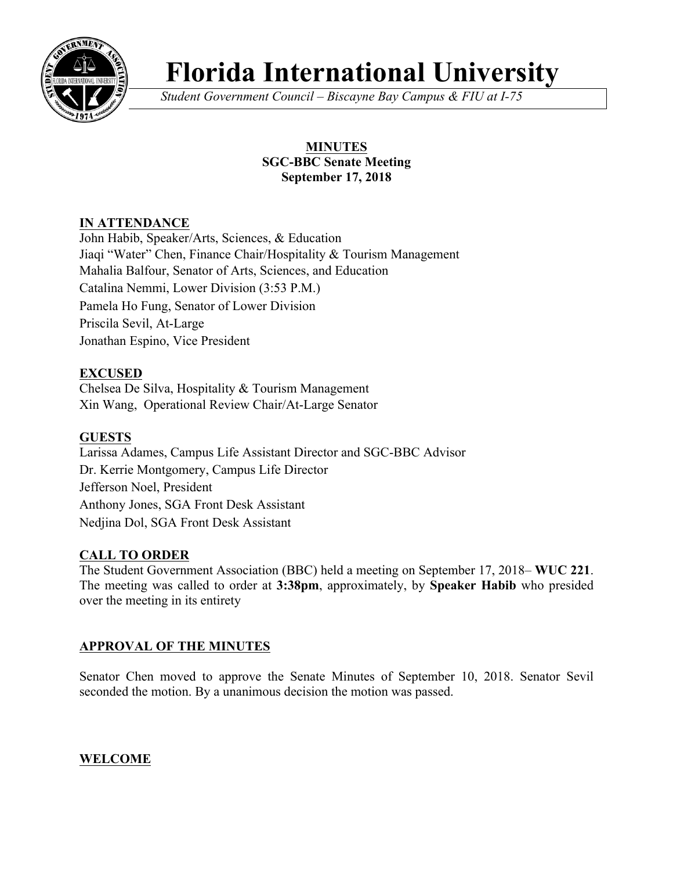

# **Florida International University**

*Student Government Council – Biscayne Bay Campus & FIU at I-75*

# **MINUTES SGC-BBC Senate Meeting September 17, 2018**

# **IN ATTENDANCE**

John Habib, Speaker/Arts, Sciences, & Education Jiaqi "Water" Chen, Finance Chair/Hospitality & Tourism Management Mahalia Balfour, Senator of Arts, Sciences, and Education Catalina Nemmi, Lower Division (3:53 P.M.) Pamela Ho Fung, Senator of Lower Division Priscila Sevil, At-Large Jonathan Espino, Vice President

# **EXCUSED**

Chelsea De Silva, Hospitality & Tourism Management Xin Wang, Operational Review Chair/At-Large Senator

# **GUESTS**

Larissa Adames, Campus Life Assistant Director and SGC-BBC Advisor Dr. Kerrie Montgomery, Campus Life Director Jefferson Noel, President Anthony Jones, SGA Front Desk Assistant Nedjina Dol, SGA Front Desk Assistant

## **CALL TO ORDER**

The Student Government Association (BBC) held a meeting on September 17, 2018– **WUC 221**. The meeting was called to order at **3:38pm**, approximately, by **Speaker Habib** who presided over the meeting in its entirety

# **APPROVAL OF THE MINUTES**

Senator Chen moved to approve the Senate Minutes of September 10, 2018. Senator Sevil seconded the motion. By a unanimous decision the motion was passed.

# **WELCOME**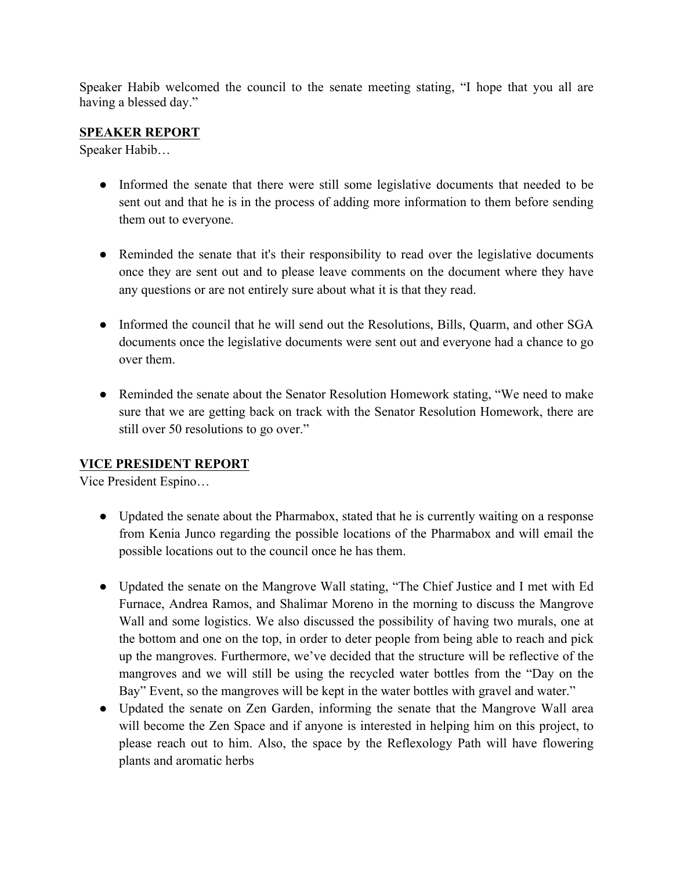Speaker Habib welcomed the council to the senate meeting stating, "I hope that you all are having a blessed day."

## **SPEAKER REPORT**

Speaker Habib…

- Informed the senate that there were still some legislative documents that needed to be sent out and that he is in the process of adding more information to them before sending them out to everyone.
- Reminded the senate that it's their responsibility to read over the legislative documents once they are sent out and to please leave comments on the document where they have any questions or are not entirely sure about what it is that they read.
- Informed the council that he will send out the Resolutions, Bills, Quarm, and other SGA documents once the legislative documents were sent out and everyone had a chance to go over them.
- Reminded the senate about the Senator Resolution Homework stating, "We need to make sure that we are getting back on track with the Senator Resolution Homework, there are still over 50 resolutions to go over."

## **VICE PRESIDENT REPORT**

Vice President Espino…

- Updated the senate about the Pharmabox, stated that he is currently waiting on a response from Kenia Junco regarding the possible locations of the Pharmabox and will email the possible locations out to the council once he has them.
- Updated the senate on the Mangrove Wall stating, "The Chief Justice and I met with Ed Furnace, Andrea Ramos, and Shalimar Moreno in the morning to discuss the Mangrove Wall and some logistics. We also discussed the possibility of having two murals, one at the bottom and one on the top, in order to deter people from being able to reach and pick up the mangroves. Furthermore, we've decided that the structure will be reflective of the mangroves and we will still be using the recycled water bottles from the "Day on the Bay" Event, so the mangroves will be kept in the water bottles with gravel and water."
- Updated the senate on Zen Garden, informing the senate that the Mangrove Wall area will become the Zen Space and if anyone is interested in helping him on this project, to please reach out to him. Also, the space by the Reflexology Path will have flowering plants and aromatic herbs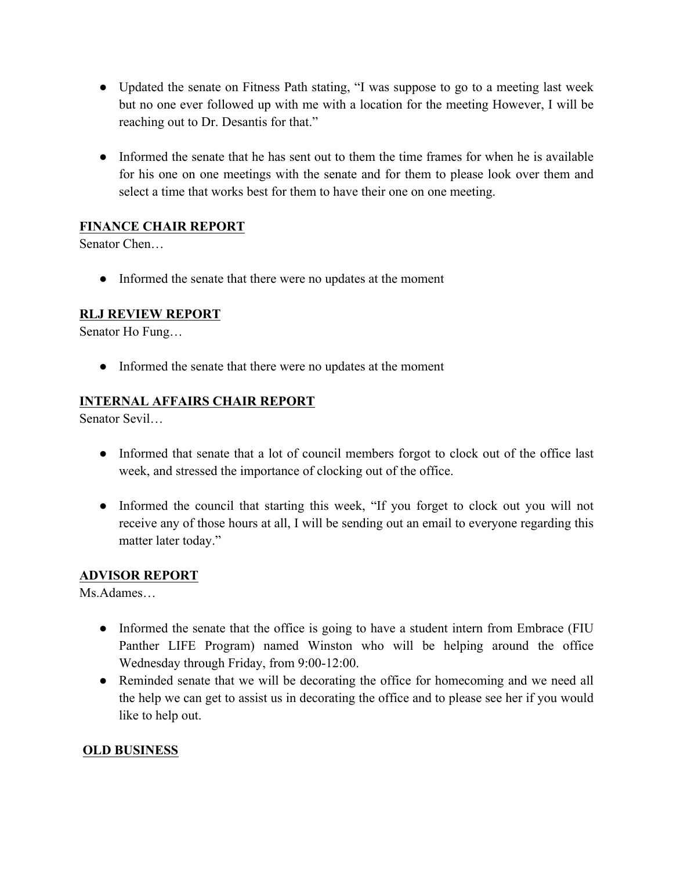- Updated the senate on Fitness Path stating, "I was suppose to go to a meeting last week but no one ever followed up with me with a location for the meeting However, I will be reaching out to Dr. Desantis for that."
- Informed the senate that he has sent out to them the time frames for when he is available for his one on one meetings with the senate and for them to please look over them and select a time that works best for them to have their one on one meeting.

## **FINANCE CHAIR REPORT**

Senator Chen…

• Informed the senate that there were no updates at the moment

## **RLJ REVIEW REPORT**

Senator Ho Fung…

• Informed the senate that there were no updates at the moment

## **INTERNAL AFFAIRS CHAIR REPORT**

Senator Sevil…

- Informed that senate that a lot of council members forgot to clock out of the office last week, and stressed the importance of clocking out of the office.
- Informed the council that starting this week, "If you forget to clock out you will not receive any of those hours at all, I will be sending out an email to everyone regarding this matter later today."

## **ADVISOR REPORT**

Ms.Adames…

- Informed the senate that the office is going to have a student intern from Embrace (FIU) Panther LIFE Program) named Winston who will be helping around the office Wednesday through Friday, from 9:00-12:00.
- Reminded senate that we will be decorating the office for homecoming and we need all the help we can get to assist us in decorating the office and to please see her if you would like to help out.

## **OLD BUSINESS**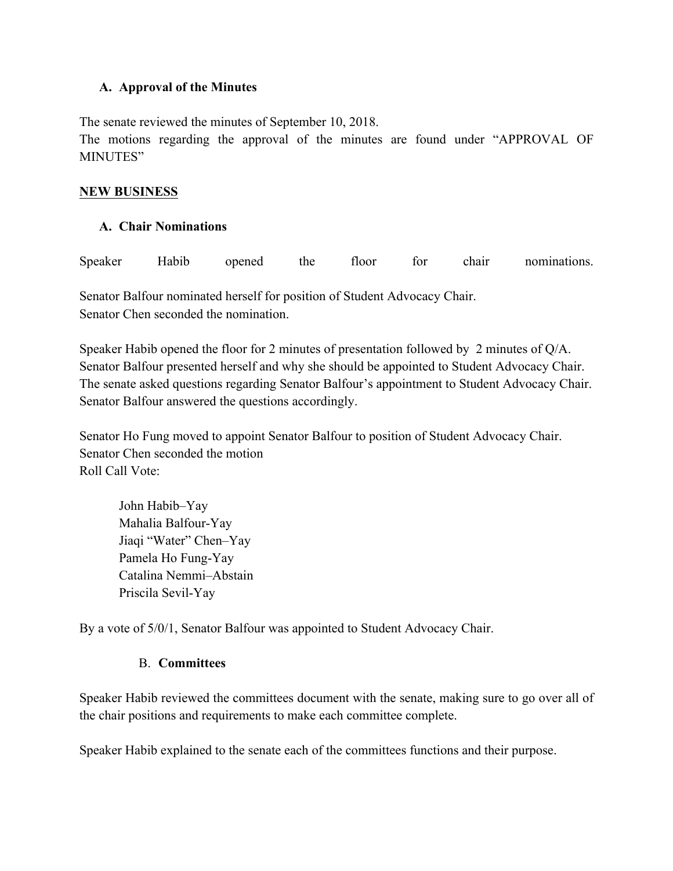#### **A. Approval of the Minutes**

The senate reviewed the minutes of September 10, 2018.

The motions regarding the approval of the minutes are found under "APPROVAL OF MINUTES"

#### **NEW BUSINESS**

## **A. Chair Nominations**

| Speaker | Habib | opened | the | floor | for | chair | nominations. |
|---------|-------|--------|-----|-------|-----|-------|--------------|
|         |       |        |     |       |     |       |              |

Senator Balfour nominated herself for position of Student Advocacy Chair. Senator Chen seconded the nomination.

Speaker Habib opened the floor for 2 minutes of presentation followed by 2 minutes of Q/A. Senator Balfour presented herself and why she should be appointed to Student Advocacy Chair. The senate asked questions regarding Senator Balfour's appointment to Student Advocacy Chair. Senator Balfour answered the questions accordingly.

Senator Ho Fung moved to appoint Senator Balfour to position of Student Advocacy Chair. Senator Chen seconded the motion Roll Call Vote:

John Habib–Yay Mahalia Balfour-Yay Jiaqi "Water" Chen–Yay Pamela Ho Fung-Yay Catalina Nemmi–Abstain Priscila Sevil-Yay

By a vote of 5/0/1, Senator Balfour was appointed to Student Advocacy Chair.

## B. **Committees**

Speaker Habib reviewed the committees document with the senate, making sure to go over all of the chair positions and requirements to make each committee complete.

Speaker Habib explained to the senate each of the committees functions and their purpose.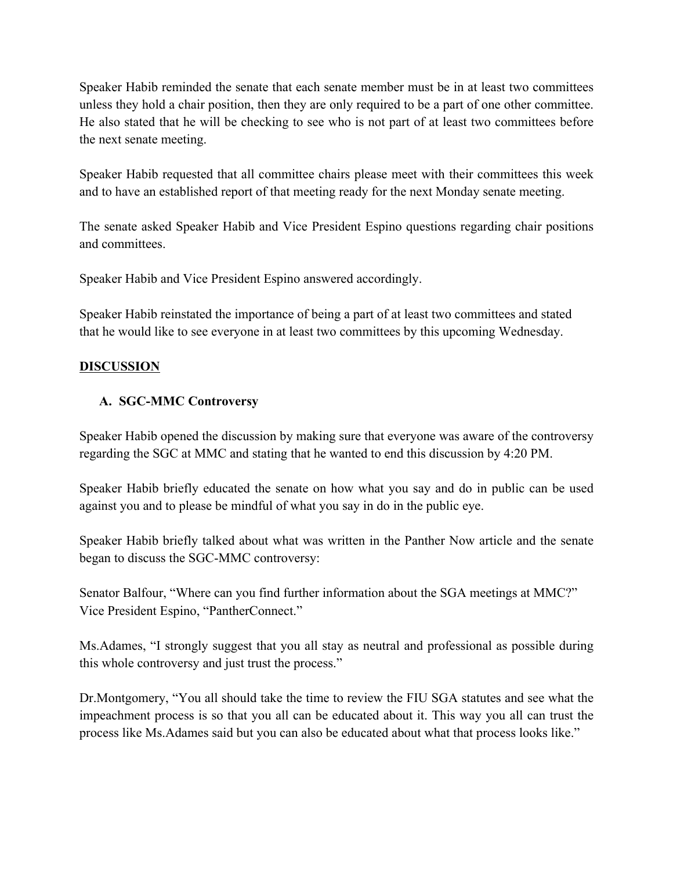Speaker Habib reminded the senate that each senate member must be in at least two committees unless they hold a chair position, then they are only required to be a part of one other committee. He also stated that he will be checking to see who is not part of at least two committees before the next senate meeting.

Speaker Habib requested that all committee chairs please meet with their committees this week and to have an established report of that meeting ready for the next Monday senate meeting.

The senate asked Speaker Habib and Vice President Espino questions regarding chair positions and committees.

Speaker Habib and Vice President Espino answered accordingly.

Speaker Habib reinstated the importance of being a part of at least two committees and stated that he would like to see everyone in at least two committees by this upcoming Wednesday.

# **DISCUSSION**

## **A. SGC-MMC Controversy**

Speaker Habib opened the discussion by making sure that everyone was aware of the controversy regarding the SGC at MMC and stating that he wanted to end this discussion by 4:20 PM.

Speaker Habib briefly educated the senate on how what you say and do in public can be used against you and to please be mindful of what you say in do in the public eye.

Speaker Habib briefly talked about what was written in the Panther Now article and the senate began to discuss the SGC-MMC controversy:

Senator Balfour, "Where can you find further information about the SGA meetings at MMC?" Vice President Espino, "PantherConnect."

Ms.Adames, "I strongly suggest that you all stay as neutral and professional as possible during this whole controversy and just trust the process."

Dr.Montgomery, "You all should take the time to review the FIU SGA statutes and see what the impeachment process is so that you all can be educated about it. This way you all can trust the process like Ms.Adames said but you can also be educated about what that process looks like."